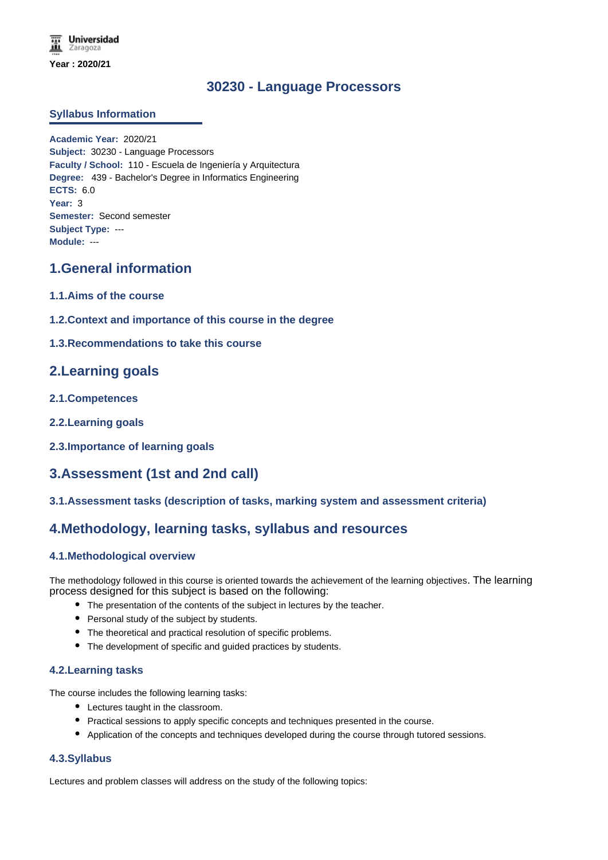**Universidad** Zaragoza **Year : 2020/21**

# **30230 - Language Processors**

#### **Syllabus Information**

**Academic Year:** 2020/21 **Subject:** 30230 - Language Processors **Faculty / School:** 110 - Escuela de Ingeniería y Arquitectura **Degree:** 439 - Bachelor's Degree in Informatics Engineering **ECTS:** 6.0 **Year:** 3 **Semester:** Second semester **Subject Type:** --- **Module:** ---

## **1.General information**

- **1.1.Aims of the course**
- **1.2.Context and importance of this course in the degree**

#### **1.3.Recommendations to take this course**

## **2.Learning goals**

- **2.1.Competences**
- **2.2.Learning goals**
- **2.3.Importance of learning goals**

# **3.Assessment (1st and 2nd call)**

#### **3.1.Assessment tasks (description of tasks, marking system and assessment criteria)**

## **4.Methodology, learning tasks, syllabus and resources**

#### **4.1.Methodological overview**

The methodology followed in this course is oriented towards the achievement of the learning objectives. The learning process designed for this subject is based on the following:

- The presentation of the contents of the subject in lectures by the teacher.
- Personal study of the subject by students.
- The theoretical and practical resolution of specific problems.
- The development of specific and guided practices by students.

#### **4.2.Learning tasks**

The course includes the following learning tasks:

- Lectures taught in the classroom.
- Practical sessions to apply specific concepts and techniques presented in the course.
- Application of the concepts and techniques developed during the course through tutored sessions.

#### **4.3.Syllabus**

Lectures and problem classes will address on the study of the following topics: